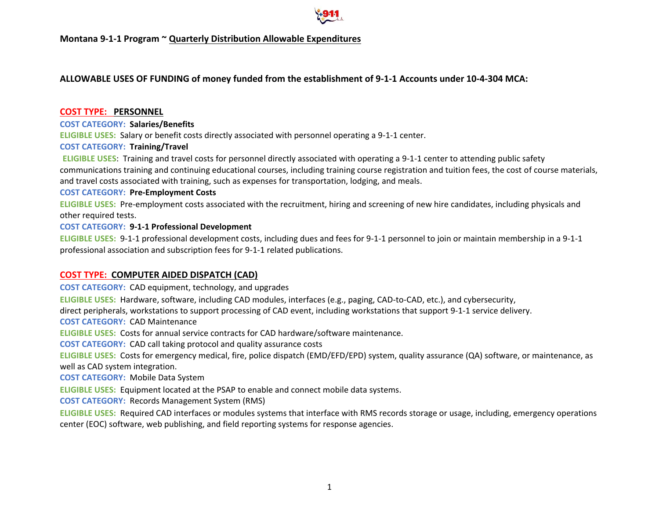

# **ALLOWABLE USES OF FUNDING of money funded from the establishment of 9-1-1 Accounts under 10-4-304 MCA:**

### **COST TYPE: PERSONNEL**

### **COST CATEGORY: Salaries/Benefits**

**ELIGIBLE USES:** Salary or benefit costs directly associated with personnel operating a 9-1-1 center.

## **COST CATEGORY: Training/Travel**

**ELIGIBLE USES**: Training and travel costs for personnel directly associated with operating a 9-1-1 center to attending public safety communications training and continuing educational courses, including training course registration and tuition fees, the cost of course materials, and travel costs associated with training, such as expenses for transportation, lodging, and meals.

### **COST CATEGORY: Pre-Employment Costs**

**ELIGIBLE USES:** Pre-employment costs associated with the recruitment, hiring and screening of new hire candidates, including physicals and other required tests.

### **COST CATEGORY: 9-1-1 Professional Development**

**ELIGIBLE USES:** 9-1-1 professional development costs, including dues and fees for 9-1-1 personnel to join or maintain membership in a 9-1-1 professional association and subscription fees for 9-1-1 related publications.

## **COST TYPE: COMPUTER AIDED DISPATCH (CAD)**

**COST CATEGORY:** CAD equipment, technology, and upgrades

**ELIGIBLE USES:** Hardware, software, including CAD modules, interfaces (e.g., paging, CAD-to-CAD, etc.), and cybersecurity,

direct peripherals, workstations to support processing of CAD event, including workstations that support 9-1-1 service delivery.

**COST CATEGORY:** CAD Maintenance

**ELIGIBLE USES:** Costs for annual service contracts for CAD hardware/software maintenance.

**COST CATEGORY:** CAD call taking protocol and quality assurance costs

**ELIGIBLE USES:** Costs for emergency medical, fire, police dispatch (EMD/EFD/EPD) system, quality assurance (QA) software, or maintenance, as well as CAD system integration.

**COST CATEGORY:** Mobile Data System

**ELIGIBLE USES:** Equipment located at the PSAP to enable and connect mobile data systems.

**COST CATEGORY:** Records Management System (RMS)

**ELIGIBLE USES:** Required CAD interfaces or modules systems that interface with RMS records storage or usage, including, emergency operations center (EOC) software, web publishing, and field reporting systems for response agencies.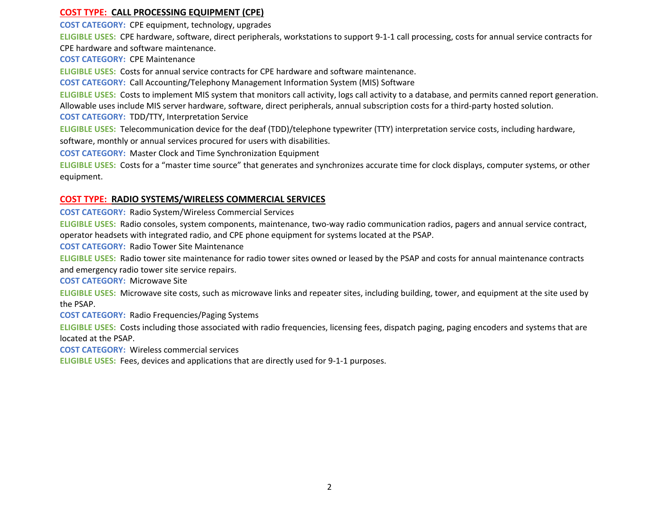### **COST TYPE: CALL PROCESSING EQUIPMENT (CPE)**

**COST CATEGORY:** CPE equipment, technology, upgrades

**ELIGIBLE USES:** CPE hardware, software, direct peripherals, workstations to support 9-1-1 call processing, costs for annual service contracts for CPE hardware and software maintenance.

**COST CATEGORY:** CPE Maintenance

**ELIGIBLE USES:** Costs for annual service contracts for CPE hardware and software maintenance.

**COST CATEGORY:** Call Accounting/Telephony Management Information System (MIS) Software

**ELIGIBLE USES:** Costs to implement MIS system that monitors call activity, logs call activity to a database, and permits canned report generation. Allowable uses include MIS server hardware, software, direct peripherals, annual subscription costs for a third-party hosted solution.

**COST CATEGORY:** TDD/TTY, Interpretation Service

**ELIGIBLE USES:** Telecommunication device for the deaf (TDD)/telephone typewriter (TTY) interpretation service costs, including hardware,

software, monthly or annual services procured for users with disabilities.

**COST CATEGORY:** Master Clock and Time Synchronization Equipment

**ELIGIBLE USES:** Costs for a "master time source" that generates and synchronizes accurate time for clock displays, computer systems, or other equipment.

### **COST TYPE: RADIO SYSTEMS/WIRELESS COMMERCIAL SERVICES**

**COST CATEGORY:** Radio System/Wireless Commercial Services

**ELIGIBLE USES:** Radio consoles, system components, maintenance, two-way radio communication radios, pagers and annual service contract, operator headsets with integrated radio, and CPE phone equipment for systems located at the PSAP.

**COST CATEGORY:** Radio Tower Site Maintenance

**ELIGIBLE USES:** Radio tower site maintenance for radio tower sites owned or leased by the PSAP and costs for annual maintenance contracts and emergency radio tower site service repairs.

**COST CATEGORY:** Microwave Site

**ELIGIBLE USES:** Microwave site costs, such as microwave links and repeater sites, including building, tower, and equipment at the site used by the PSAP.

**COST CATEGORY:** Radio Frequencies/Paging Systems

**ELIGIBLE USES:** Costs including those associated with radio frequencies, licensing fees, dispatch paging, paging encoders and systems that are located at the PSAP.

**COST CATEGORY:** Wireless commercial services

**ELIGIBLE USES:** Fees, devices and applications that are directly used for 9-1-1 purposes.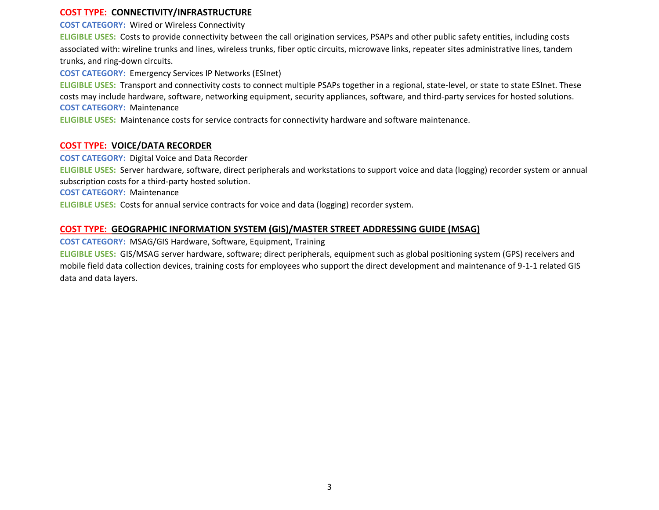### **COST TYPE: CONNECTIVITY/INFRASTRUCTURE**

**COST CATEGORY:** Wired or Wireless Connectivity

**ELIGIBLE USES:** Costs to provide connectivity between the call origination services, PSAPs and other public safety entities, including costs associated with: wireline trunks and lines, wireless trunks, fiber optic circuits, microwave links, repeater sites administrative lines, tandem trunks, and ring-down circuits.

**COST CATEGORY:** Emergency Services IP Networks (ESInet)

**ELIGIBLE USES:** Transport and connectivity costs to connect multiple PSAPs together in a regional, state-level, or state to state ESInet. These costs may include hardware, software, networking equipment, security appliances, software, and third-party services for hosted solutions. **COST CATEGORY:** Maintenance

**ELIGIBLE USES:** Maintenance costs for service contracts for connectivity hardware and software maintenance.

### **COST TYPE: VOICE/DATA RECORDER**

**COST CATEGORY:** Digital Voice and Data Recorder

**ELIGIBLE USES:** Server hardware, software, direct peripherals and workstations to support voice and data (logging) recorder system or annual subscription costs for a third-party hosted solution.

**COST CATEGORY:** Maintenance

**ELIGIBLE USES:** Costs for annual service contracts for voice and data (logging) recorder system.

### **COST TYPE: GEOGRAPHIC INFORMATION SYSTEM (GIS)/MASTER STREET ADDRESSING GUIDE (MSAG)**

**COST CATEGORY:** MSAG/GIS Hardware, Software, Equipment, Training

**ELIGIBLE USES:** GIS/MSAG server hardware, software; direct peripherals, equipment such as global positioning system (GPS) receivers and mobile field data collection devices, training costs for employees who support the direct development and maintenance of 9-1-1 related GIS data and data layers.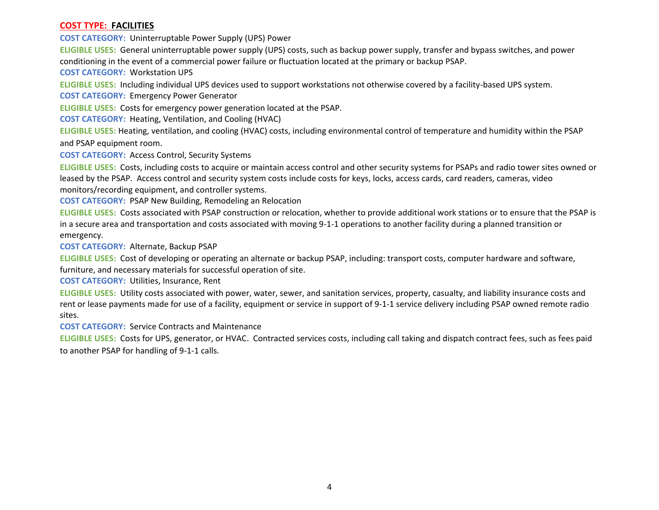### **COST TYPE: FACILITIES**

**COST CATEGORY:** Uninterruptable Power Supply (UPS) Power

**ELIGIBLE USES:** General uninterruptable power supply (UPS) costs, such as backup power supply, transfer and bypass switches, and power conditioning in the event of a commercial power failure or fluctuation located at the primary or backup PSAP.

**COST CATEGORY:** Workstation UPS

**ELIGIBLE USES:** Including individual UPS devices used to support workstations not otherwise covered by a facility-based UPS system.

**COST CATEGORY:** Emergency Power Generator

**ELIGIBLE USES:** Costs for emergency power generation located at the PSAP.

**COST CATEGORY:** Heating, Ventilation, and Cooling (HVAC)

**ELIGIBLE USES:** Heating, ventilation, and cooling (HVAC) costs, including environmental control of temperature and humidity within the PSAP and PSAP equipment room.

**COST CATEGORY:** Access Control, Security Systems

**ELIGIBLE USES:** Costs, including costs to acquire or maintain access control and other security systems for PSAPs and radio tower sites owned or leased by the PSAP. Access control and security system costs include costs for keys, locks, access cards, card readers, cameras, video monitors/recording equipment, and controller systems.

**COST CATEGORY:** PSAP New Building, Remodeling an Relocation

**ELIGIBLE USES:** Costs associated with PSAP construction or relocation, whether to provide additional work stations or to ensure that the PSAP is in a secure area and transportation and costs associated with moving 9-1-1 operations to another facility during a planned transition or emergency.

**COST CATEGORY:** Alternate, Backup PSAP

**ELIGIBLE USES:** Cost of developing or operating an alternate or backup PSAP, including: transport costs, computer hardware and software, furniture, and necessary materials for successful operation of site.

**COST CATEGORY:** Utilities, Insurance, Rent

**ELIGIBLE USES:** Utility costs associated with power, water, sewer, and sanitation services, property, casualty, and liability insurance costs and rent or lease payments made for use of a facility, equipment or service in support of 9-1-1 service delivery including PSAP owned remote radio sites.

**COST CATEGORY:** Service Contracts and Maintenance

**ELIGIBLE USES:** Costs for UPS, generator, or HVAC. Contracted services costs, including call taking and dispatch contract fees, such as fees paid to another PSAP for handling of 9-1-1 calls.